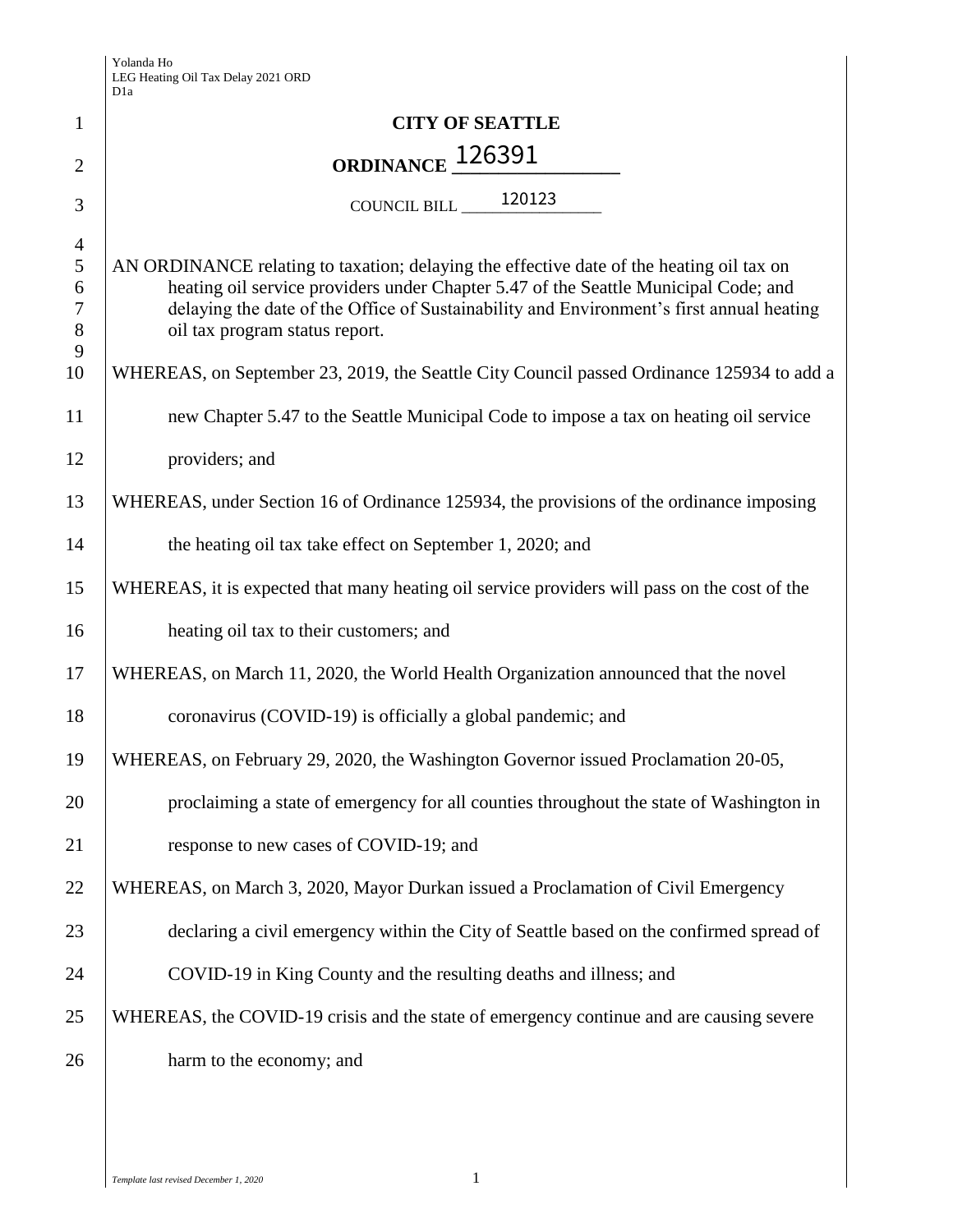|                | D <sub>1</sub> a                                                                             |
|----------------|----------------------------------------------------------------------------------------------|
| 1              | <b>CITY OF SEATTLE</b>                                                                       |
| $\overline{2}$ | ORDINANCE <sub>-</sub> 126391                                                                |
| 3              | COUNCIL BILL ______ 120123                                                                   |
| $\overline{4}$ |                                                                                              |
| $\mathfrak s$  | AN ORDINANCE relating to taxation; delaying the effective date of the heating oil tax on     |
| 6              | heating oil service providers under Chapter 5.47 of the Seattle Municipal Code; and          |
| $\tau$         | delaying the date of the Office of Sustainability and Environment's first annual heating     |
| $8\,$<br>9     | oil tax program status report.                                                               |
| 10             | WHEREAS, on September 23, 2019, the Seattle City Council passed Ordinance 125934 to add a    |
| 11             | new Chapter 5.47 to the Seattle Municipal Code to impose a tax on heating oil service        |
| 12             | providers; and                                                                               |
| 13             | WHEREAS, under Section 16 of Ordinance 125934, the provisions of the ordinance imposing      |
| 14             | the heating oil tax take effect on September 1, 2020; and                                    |
| 15             | WHEREAS, it is expected that many heating oil service providers will pass on the cost of the |
| 16             | heating oil tax to their customers; and                                                      |
| 17             | WHEREAS, on March 11, 2020, the World Health Organization announced that the novel           |
| 18             | coronavirus (COVID-19) is officially a global pandemic; and                                  |
| 19             | WHEREAS, on February 29, 2020, the Washington Governor issued Proclamation 20-05,            |
| 20             | proclaiming a state of emergency for all counties throughout the state of Washington in      |
| 21             | response to new cases of COVID-19; and                                                       |
| 22             | WHEREAS, on March 3, 2020, Mayor Durkan issued a Proclamation of Civil Emergency             |
| 23             | declaring a civil emergency within the City of Seattle based on the confirmed spread of      |
| 24             | COVID-19 in King County and the resulting deaths and illness; and                            |
| 25             | WHEREAS, the COVID-19 crisis and the state of emergency continue and are causing severe      |
| 26             | harm to the economy; and                                                                     |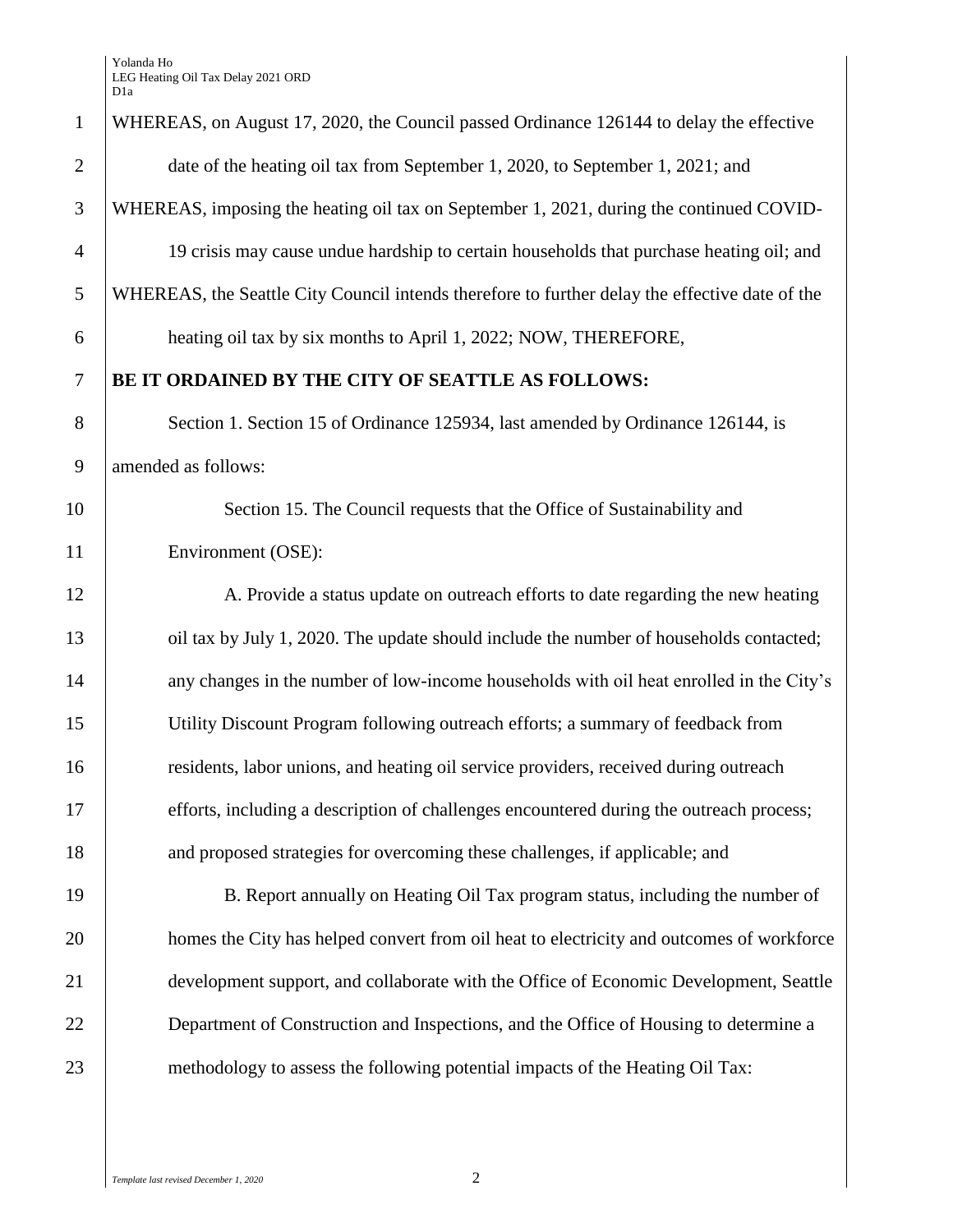| $\mathbf{1}$   | WHEREAS, on August 17, 2020, the Council passed Ordinance 126144 to delay the effective        |
|----------------|------------------------------------------------------------------------------------------------|
| $\overline{2}$ | date of the heating oil tax from September 1, 2020, to September 1, 2021; and                  |
| 3              | WHEREAS, imposing the heating oil tax on September 1, 2021, during the continued COVID-        |
| $\overline{4}$ | 19 crisis may cause undue hardship to certain households that purchase heating oil; and        |
| 5              | WHEREAS, the Seattle City Council intends therefore to further delay the effective date of the |
| 6              | heating oil tax by six months to April 1, 2022; NOW, THEREFORE,                                |
| $\tau$         | BE IT ORDAINED BY THE CITY OF SEATTLE AS FOLLOWS:                                              |
| 8              | Section 1. Section 15 of Ordinance 125934, last amended by Ordinance 126144, is                |
| 9              | amended as follows:                                                                            |
| 10             | Section 15. The Council requests that the Office of Sustainability and                         |
| 11             | Environment (OSE):                                                                             |
| 12             | A. Provide a status update on outreach efforts to date regarding the new heating               |
| 13             | oil tax by July 1, 2020. The update should include the number of households contacted;         |
| 14             | any changes in the number of low-income households with oil heat enrolled in the City's        |
| 15             | Utility Discount Program following outreach efforts; a summary of feedback from                |
| 16             | residents, labor unions, and heating oil service providers, received during outreach           |
| 17             | efforts, including a description of challenges encountered during the outreach process;        |
| 18             | and proposed strategies for overcoming these challenges, if applicable; and                    |
| 19             | B. Report annually on Heating Oil Tax program status, including the number of                  |
| 20             | homes the City has helped convert from oil heat to electricity and outcomes of workforce       |
| 21             | development support, and collaborate with the Office of Economic Development, Seattle          |
| 22             | Department of Construction and Inspections, and the Office of Housing to determine a           |
| 23             | methodology to assess the following potential impacts of the Heating Oil Tax:                  |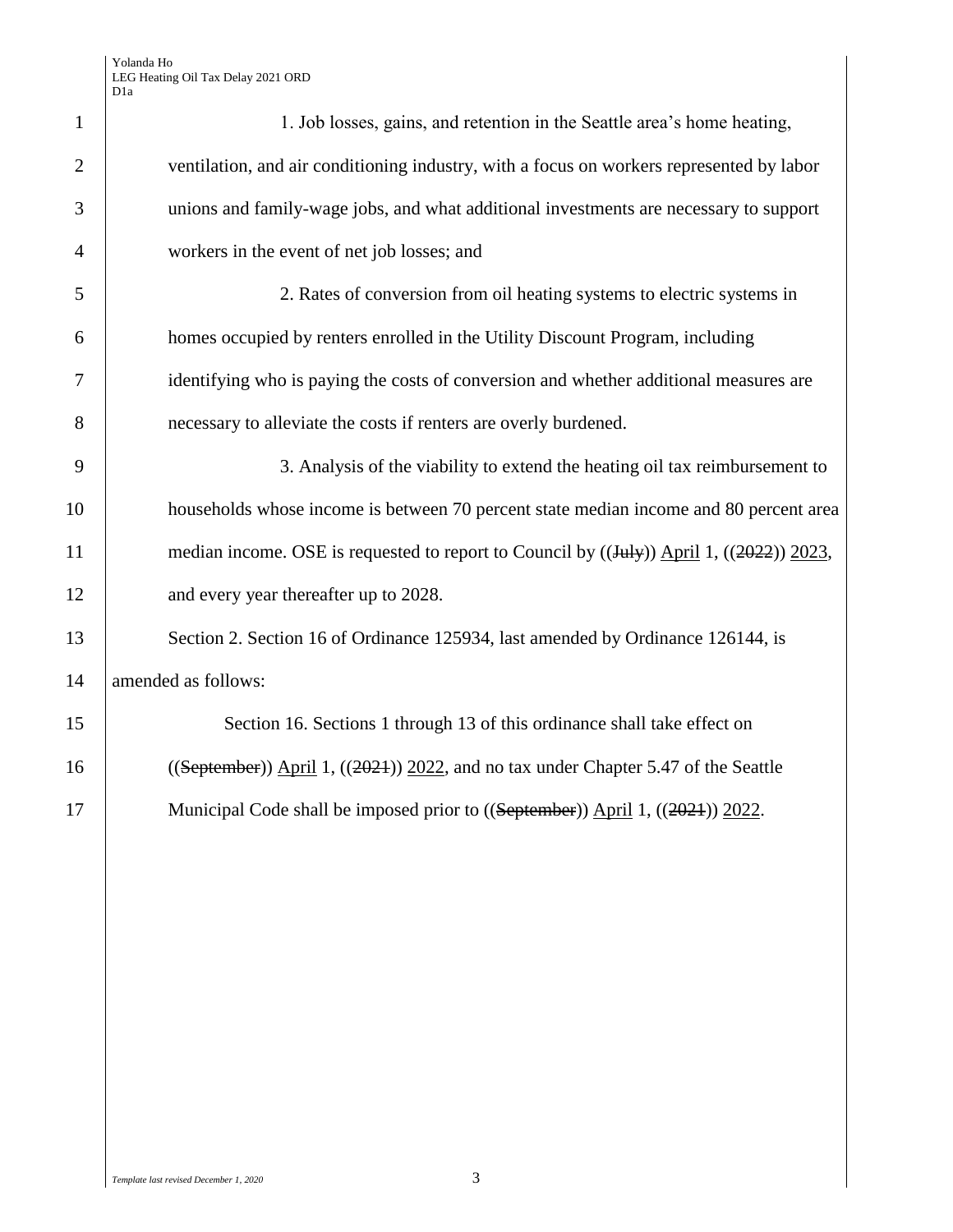| $\mathbf{1}$   | 1. Job losses, gains, and retention in the Seattle area's home heating,                             |
|----------------|-----------------------------------------------------------------------------------------------------|
| $\overline{2}$ | ventilation, and air conditioning industry, with a focus on workers represented by labor            |
| 3              | unions and family-wage jobs, and what additional investments are necessary to support               |
| $\overline{4}$ | workers in the event of net job losses; and                                                         |
| 5              | 2. Rates of conversion from oil heating systems to electric systems in                              |
| 6              | homes occupied by renters enrolled in the Utility Discount Program, including                       |
| 7              | identifying who is paying the costs of conversion and whether additional measures are               |
| 8              | necessary to alleviate the costs if renters are overly burdened.                                    |
| 9              | 3. Analysis of the viability to extend the heating oil tax reimbursement to                         |
| 10             | households whose income is between 70 percent state median income and 80 percent area               |
| 11             | median income. OSE is requested to report to Council by $((\text{July}))$ April 1, $((2022))$ 2023, |
| 12             | and every year thereafter up to 2028.                                                               |
| 13             | Section 2. Section 16 of Ordinance 125934, last amended by Ordinance 126144, is                     |
| 14             | amended as follows:                                                                                 |
| 15             | Section 16. Sections 1 through 13 of this ordinance shall take effect on                            |
| 16             | $((September))$ April 1, $((2021))$ 2022, and no tax under Chapter 5.47 of the Seattle              |
| 17             | Municipal Code shall be imposed prior to ((September)) April 1, ((2021)) 2022.                      |
|                |                                                                                                     |